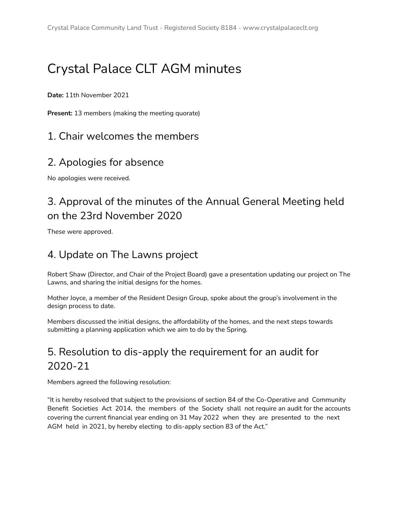# Crystal Palace CLT AGM minutes

**Date:** 11th November 2021

**Present:** 13 members (making the meeting quorate)

### 1. Chair welcomes the members

### 2. Apologies for absence

No apologies were received.

## 3. Approval of the minutes of the Annual General Meeting held on the 23rd November 2020

These were approved.

## 4. Update on The Lawns project

Robert Shaw (Director, and Chair of the Project Board) gave a presentation updating our project on The Lawns, and sharing the initial designs for the homes.

Mother Joyce, a member of the Resident Design Group, spoke about the group's involvement in the design process to date.

Members discussed the initial designs, the affordability of the homes, and the next steps towards submitting a planning application which we aim to do by the Spring.

## 5. Resolution to dis-apply the requirement for an audit for 2020-21

Members agreed the following resolution:

"It is hereby resolved that subject to the provisions of section 84 of the Co-Operative and Community Benefit Societies Act 2014, the members of the Society shall not require an audit for the accounts covering the current financial year ending on 31 May 2022 when they are presented to the next AGM held in 2021, by hereby electing to dis-apply section 83 of the Act."